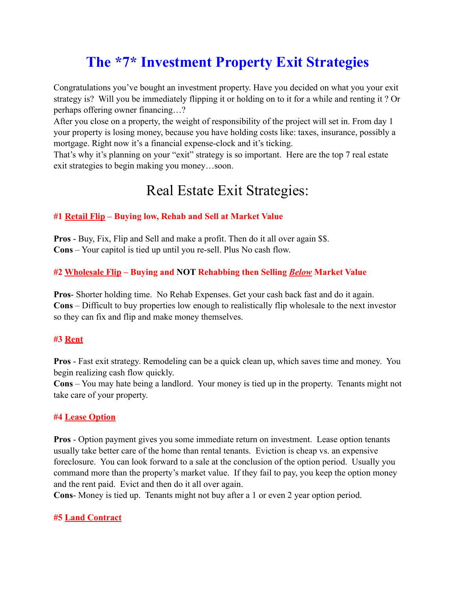# **The \*7\* Investment Property Exit Strategies**

Congratulations you've bought an investment property. Have you decided on what you your exit strategy is? Will you be immediately flipping it or holding on to it for a while and renting it ? Or perhaps offering owner financing…?

After you close on a property, the weight of responsibility of the project will set in. From day 1 your property is losing money, because you have holding costs like: taxes, insurance, possibly a mortgage. Right now it's a financial expense-clock and it's ticking.

That's why it's planning on your "exit" strategy is so important. Here are the top 7 real estate exit strategies to begin making you money…soon.

## Real Estate Exit Strategies:

### **#1 Retail Flip – Buying low, Rehab and Sell at Market Value**

**Pros** - Buy, Fix, Flip and Sell and make a profit. Then do it all over again \$\$. **Cons** – Your capitol is tied up until you re-sell. Plus No cash flow.

#### **#2 Wholesale Flip – Buying and NOT Rehabbing then Selling** *Below* **Market Value**

**Pros**- Shorter holding time. No Rehab Expenses. Get your cash back fast and do it again. **Cons** – Difficult to buy properties low enough to realistically flip wholesale to the next investor so they can fix and flip and make money themselves.

#### **#3 Rent**

**Pros** - Fast exit strategy. Remodeling can be a quick clean up, which saves time and money. You begin realizing cash flow quickly.

**Cons** – You may hate being a landlord. Your money is tied up in the property. Tenants might not take care of your property.

#### **#4 Lease Option**

**Pros** - Option payment gives you some immediate return on investment. Lease option tenants usually take better care of the home than rental tenants. Eviction is cheap vs. an expensive foreclosure. You can look forward to a sale at the conclusion of the option period. Usually you command more than the property's market value. If they fail to pay, you keep the option money and the rent paid. Evict and then do it all over again.

**Cons**- Money is tied up. Tenants might not buy after a 1 or even 2 year option period.

#### **#5 Land Contract**